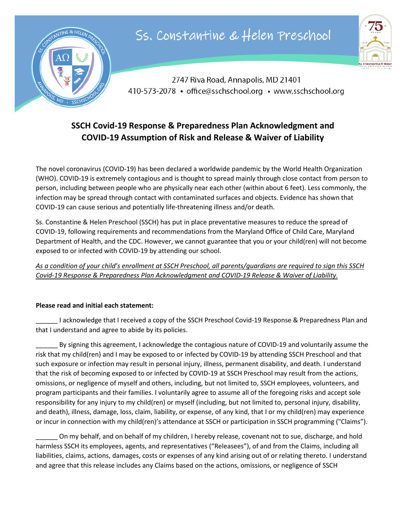

## Ss. Constantine & Helen Preschool



2747 Riva Road, Annapolis, MD 21401 410-573-2078 • office@sschschool.org • www.sschschool.org

## **SSCH Covid-19 Response & Preparedness Plan Acknowledgment and COVID-19 Assumption of Risk and Release & Waiver of Liability**

The novel coronavirus (COVID-19) has been declared a worldwide pandemic by the World Health Organization (WHO). COVID-19 is extremely contagious and is thought to spread mainly through close contact from person to person, including between people who are physically near each other (within about 6 feet). Less commonly, the infection may be spread through contact with contaminated surfaces and objects. Evidence has shown that COVID-19 can cause serious and potentially life-threatening illness and/or death.

Ss. Constantine & Helen Preschool (SSCH) has put in place preventative measures to reduce the spread of COVID-19, following requirements and recommendations from the Maryland Office of Child Care, Maryland Department of Health, and the CDC. However, we cannot guarantee that you or your child(ren) will not become exposed to or infected with COVID-19 by attending our school.

*As a condition of your child's enrollment at SSCH Preschool, all parents/guardians are required to sign this SSCH Covid-19 Response & Preparedness Plan Acknowledgment and COVID-19 Release & Waiver of Liability.*

## **Please read and initial each statement:**

\_\_\_\_\_\_ I acknowledge that I received a copy of the SSCH Preschool Covid-19 Response & Preparedness Plan and that I understand and agree to abide by its policies.

By signing this agreement, I acknowledge the contagious nature of COVID-19 and voluntarily assume the risk that my child(ren) and I may be exposed to or infected by COVID-19 by attending SSCH Preschool and that such exposure or infection may result in personal injury, illness, permanent disability, and death. I understand that the risk of becoming exposed to or infected by COVID-19 at SSCH Preschool may result from the actions, omissions, or negligence of myself and others, including, but not limited to, SSCH employees, volunteers, and program participants and their families. I voluntarily agree to assume all of the foregoing risks and accept sole responsibility for any injury to my child(ren) or myself (including, but not limited to, personal injury, disability, and death), illness, damage, loss, claim, liability, or expense, of any kind, that I or my child(ren) may experience or incur in connection with my child(ren)'s attendance at SSCH or participation in SSCH programming ("Claims").

\_\_\_\_\_\_ On my behalf, and on behalf of my children, I hereby release, covenant not to sue, discharge, and hold harmless SSCH its employees, agents, and representatives ("Releasees"), of and from the Claims, including all liabilities, claims, actions, damages, costs or expenses of any kind arising out of or relating thereto. I understand and agree that this release includes any Claims based on the actions, omissions, or negligence of SSCH